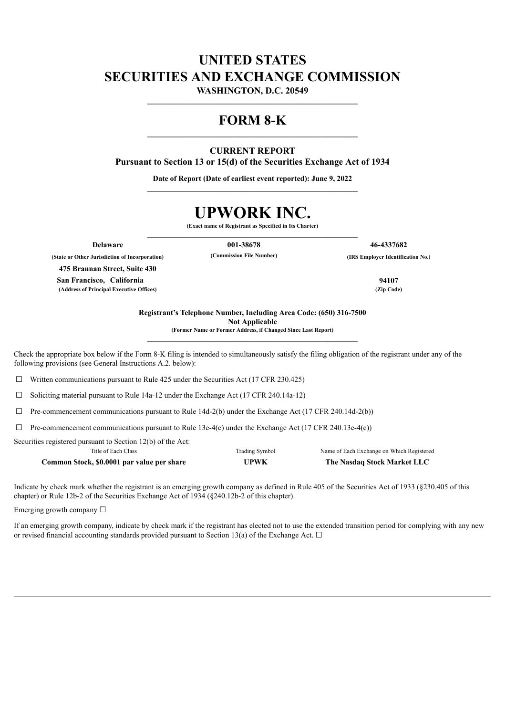## **UNITED STATES SECURITIES AND EXCHANGE COMMISSION**

**WASHINGTON, D.C. 20549 \_\_\_\_\_\_\_\_\_\_\_\_\_\_\_\_\_\_\_\_\_\_\_\_\_\_\_\_\_\_\_\_\_\_\_\_\_\_\_\_\_\_\_\_\_\_\_\_\_\_\_\_\_\_\_**

### **FORM 8-K**

### **CURRENT REPORT**

**Pursuant to Section 13 or 15(d) of the Securities Exchange Act of 1934**

**Date of Report (Date of earliest event reported): June 9, 2022 \_\_\_\_\_\_\_\_\_\_\_\_\_\_\_\_\_\_\_\_\_\_\_\_\_\_\_\_\_\_\_\_\_\_\_\_\_\_\_\_\_\_\_\_\_\_\_\_\_\_\_\_\_\_\_**

# **UPWORK INC.**

**(Exact name of Registrant as Specified in Its Charter) \_\_\_\_\_\_\_\_\_\_\_\_\_\_\_\_\_\_\_\_\_\_\_\_\_\_\_\_\_\_\_\_\_\_\_\_\_\_\_\_\_\_\_\_\_\_\_\_\_\_\_\_\_\_\_**

**Delaware 001-38678 46-4337682**

**(State or Other Jurisdiction of Incorporation) (Commission File Number) (IRS Employer Identification No.)**

**475 Brannan Street, Suite 430 San Francisco, California 94107 (Address of Principal Executive Offices) (Zip Code)**

**Registrant's Telephone Number, Including Area Code: (650) 316-7500 Not Applicable (Former Name or Former Address, if Changed Since Last Report)**

**\_\_\_\_\_\_\_\_\_\_\_\_\_\_\_\_\_\_\_\_\_\_\_\_\_\_\_\_\_\_\_\_\_\_\_\_\_\_\_\_\_\_\_\_\_\_\_\_\_\_\_\_\_\_\_**

Check the appropriate box below if the Form 8-K filing is intended to simultaneously satisfy the filing obligation of the registrant under any of the following provisions (see General Instructions A.2. below):

 $\Box$  Written communications pursuant to Rule 425 under the Securities Act (17 CFR 230.425)

☐ Soliciting material pursuant to Rule 14a-12 under the Exchange Act (17 CFR 240.14a-12)

 $\Box$  Pre-commencement communications pursuant to Rule 14d-2(b) under the Exchange Act (17 CFR 240.14d-2(b))

 $\Box$  Pre-commencement communications pursuant to Rule 13e-4(c) under the Exchange Act (17 CFR 240.13e-4(c))

Securities registered pursuant to Section 12(b) of the Act:

| Title of Each Class                        | Trading Symbol | Name of Each Exchange on Which Registered |
|--------------------------------------------|----------------|-------------------------------------------|
| Common Stock, \$0.0001 par value per share | <b>UPWK</b>    | The Nasdaq Stock Market LLC               |

Indicate by check mark whether the registrant is an emerging growth company as defined in Rule 405 of the Securities Act of 1933 (§230.405 of this chapter) or Rule 12b-2 of the Securities Exchange Act of 1934 (§240.12b-2 of this chapter).

Emerging growth company  $\Box$ 

If an emerging growth company, indicate by check mark if the registrant has elected not to use the extended transition period for complying with any new or revised financial accounting standards provided pursuant to Section 13(a) of the Exchange Act.  $\Box$